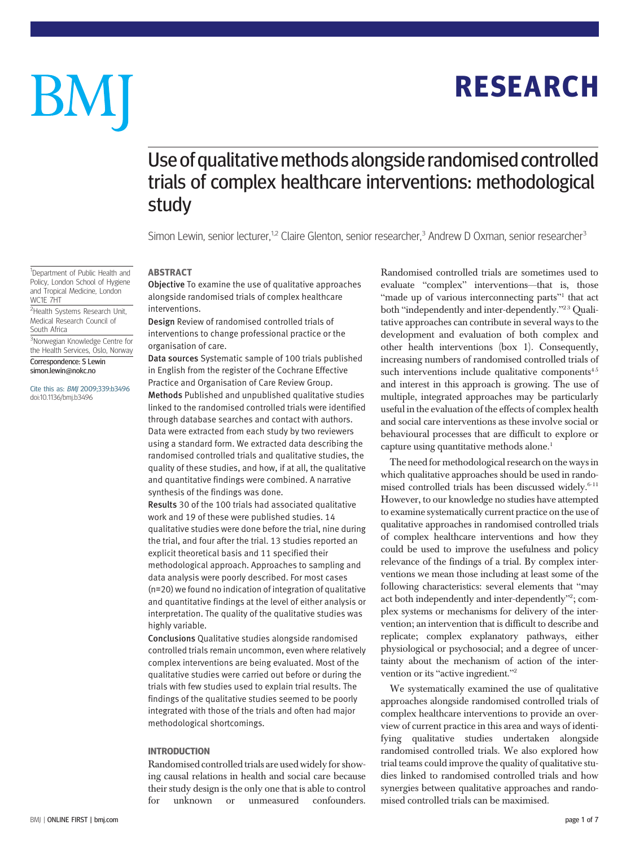## RESEARCH

# BM

### Use of qualitative methods alongside randomised controlled trials of complex healthcare interventions: methodological study

Simon Lewin, senior lecturer,<sup>1,2</sup> Claire Glenton, senior researcher,<sup>3</sup> Andrew D Oxman, senior researcher<sup>3</sup>

#### ABSTRACT

Objective To examine the use of qualitative approaches alongside randomised trials of complex healthcare interventions.

Design Review of randomised controlled trials of interventions to change professional practice or the organisation of care.

Data sources Systematic sample of 100 trials published in English from the register of the Cochrane Effective Practice and Organisation of Care Review Group. Methods Published and unpublished qualitative studies linked to the randomised controlled trials were identified through database searches and contact with authors. Data were extracted from each study by two reviewers using a standard form. We extracted data describing the randomised controlled trials and qualitative studies, the quality of these studies, and how, if at all, the qualitative and quantitative findings were combined. A narrative synthesis of the findings was done.

Results 30 of the 100 trials had associated qualitative work and 19 of these were published studies. 14 qualitative studies were done before the trial, nine during the trial, and four after the trial. 13 studies reported an explicit theoretical basis and 11 specified their methodological approach. Approaches to sampling and data analysis were poorly described. For most cases (n=20) we found no indication of integration of qualitative and quantitative findings at the level of either analysis or interpretation. The quality of the qualitative studies was highly variable.

Conclusions Qualitative studies alongside randomised controlled trials remain uncommon, even where relatively complex interventions are being evaluated. Most of the qualitative studies were carried out before or during the trials with few studies used to explain trial results. The findings of the qualitative studies seemed to be poorly integrated with those of the trials and often had major methodological shortcomings.

#### INTRODUCTION

Randomised controlled trials are used widely for showing causal relations in health and social care because their study design is the only one that is able to control for unknown or unmeasured confounders. Randomised controlled trials are sometimes used to evaluate "complex" interventions—that is, those "made up of various interconnecting parts"<sup>1</sup> that act both "independently and inter-dependently."<sup>23</sup> Qualitative approaches can contribute in several ways to the development and evaluation of both complex and other health interventions (box 1). Consequently, increasing numbers of randomised controlled trials of such interventions include qualitative components $45$ and interest in this approach is growing. The use of multiple, integrated approaches may be particularly useful in the evaluation of the effects of complex health and social care interventions as these involve social or behavioural processes that are difficult to explore or capture using quantitative methods alone.<sup>1</sup>

The need for methodological research on the ways in which qualitative approaches should be used in randomised controlled trials has been discussed widely. $6-11$ However, to our knowledge no studies have attempted to examine systematically current practice on the use of qualitative approaches in randomised controlled trials of complex healthcare interventions and how they could be used to improve the usefulness and policy relevance of the findings of a trial. By complex interventions we mean those including at least some of the following characteristics: several elements that "may act both independently and inter-dependently"?; complex systems or mechanisms for delivery of the intervention; an intervention that is difficult to describe and replicate; complex explanatory pathways, either physiological or psychosocial; and a degree of uncertainty about the mechanism of action of the intervention or its "active ingredient."<sup>2</sup>

We systematically examined the use of qualitative approaches alongside randomised controlled trials of complex healthcare interventions to provide an overview of current practice in this area and ways of identifying qualitative studies undertaken alongside randomised controlled trials. We also explored how trial teams could improve the quality of qualitative studies linked to randomised controlled trials and how synergies between qualitative approaches and randomised controlled trials can be maximised.

<sup>1</sup>Department of Public Health and Policy, London School of Hygiene and Tropical Medicine, London WC1E 7HT

<sup>2</sup>Health Systems Research Unit, Medical Research Council of South Africa

3 Norwegian Knowledge Centre for the Health Services, Oslo, Norway

Correspondence: S Lewin simon.lewin@nokc.no

Cite this as: BMJ 2009;339:b3496 doi:10.1136/bmj.b3496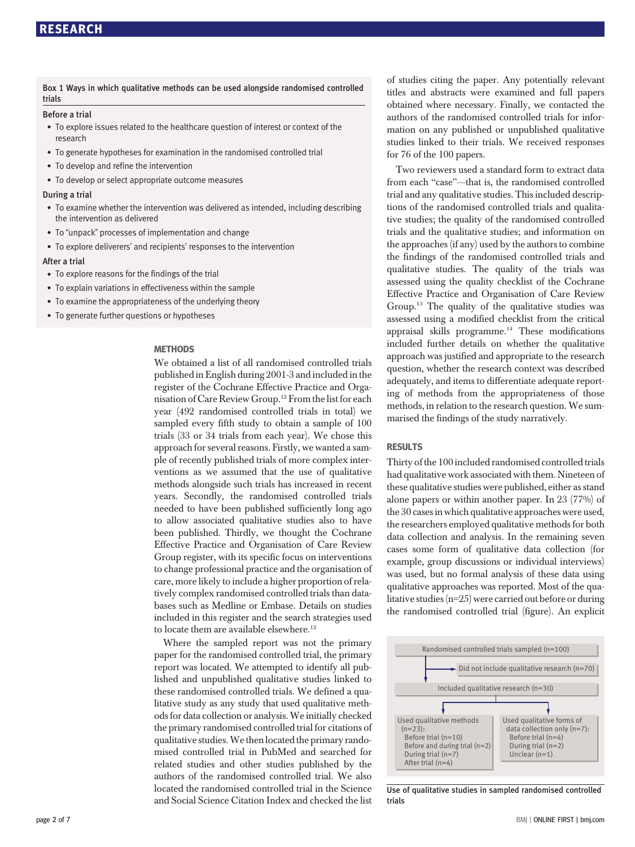Box 1 Ways in which qualitative methods can be used alongside randomised controlled trials

#### Before a trial

- To explore issues related to the healthcare question of interest or context of the research
- To generate hypotheses for examination in the randomised controlled trial
- To develop and refine the intervention
- To develop or select appropriate outcome measures

#### During a trial

- To examine whether the intervention was delivered as intended, including describing the intervention as delivered
- To "unpack" processes of implementation and change
- To explore deliverers' and recipients' responses to the intervention

#### After a trial

- To explore reasons for the findings of the trial
- To explain variations in effectiveness within the sample
- To examine the appropriateness of the underlying theory
- To generate further questions or hypotheses

#### **METHODS**

We obtained a list of all randomised controlled trials published in English during 2001-3 and included in the register of the Cochrane Effective Practice and Organisation of Care Review Group.12 From the list for each year (492 randomised controlled trials in total) we sampled every fifth study to obtain a sample of 100 trials (33 or 34 trials from each year). We chose this approach for several reasons. Firstly, we wanted a sample of recently published trials of more complex interventions as we assumed that the use of qualitative methods alongside such trials has increased in recent years. Secondly, the randomised controlled trials needed to have been published sufficiently long ago to allow associated qualitative studies also to have been published. Thirdly, we thought the Cochrane Effective Practice and Organisation of Care Review Group register, with its specific focus on interventions to change professional practice and the organisation of care, more likely to include a higher proportion of relatively complex randomised controlled trials than databases such as Medline or Embase. Details on studies included in this register and the search strategies used to locate them are available elsewhere.<sup>12</sup>

Where the sampled report was not the primary paper for the randomised controlled trial, the primary report was located. We attempted to identify all published and unpublished qualitative studies linked to these randomised controlled trials. We defined a qualitative study as any study that used qualitative methods for data collection or analysis.We initially checked the primary randomised controlled trial for citations of qualitative studies.We then located the primary randomised controlled trial in PubMed and searched for related studies and other studies published by the authors of the randomised controlled trial. We also located the randomised controlled trial in the Science and Social Science Citation Index and checked the list of studies citing the paper. Any potentially relevant titles and abstracts were examined and full papers obtained where necessary. Finally, we contacted the authors of the randomised controlled trials for information on any published or unpublished qualitative studies linked to their trials. We received responses for 76 of the 100 papers.

Two reviewers used a standard form to extract data from each "case"—that is, the randomised controlled trial and any qualitative studies. This included descriptions of the randomised controlled trials and qualitative studies; the quality of the randomised controlled trials and the qualitative studies; and information on the approaches (if any) used by the authors to combine the findings of the randomised controlled trials and qualitative studies. The quality of the trials was assessed using the quality checklist of the Cochrane Effective Practice and Organisation of Care Review Group.13 The quality of the qualitative studies was assessed using a modified checklist from the critical appraisal skills programme.<sup>14</sup> These modifications included further details on whether the qualitative approach was justified and appropriate to the research question, whether the research context was described adequately, and items to differentiate adequate reporting of methods from the appropriateness of those methods, in relation to the research question. We summarised the findings of the study narratively.

#### RESULTS

Thirty of the 100 included randomised controlled trials had qualitative work associated with them. Nineteen of these qualitative studies were published, either as stand alone papers or within another paper. In 23 (77%) of the 30 cases in which qualitative approaches were used, the researchers employed qualitative methods for both data collection and analysis. In the remaining seven cases some form of qualitative data collection (for example, group discussions or individual interviews) was used, but no formal analysis of these data using qualitative approaches was reported. Most of the qualitative studies (n=25) were carried out before or during the randomised controlled trial (figure). An explicit



Use of qualitative studies in sampled randomised controlled trials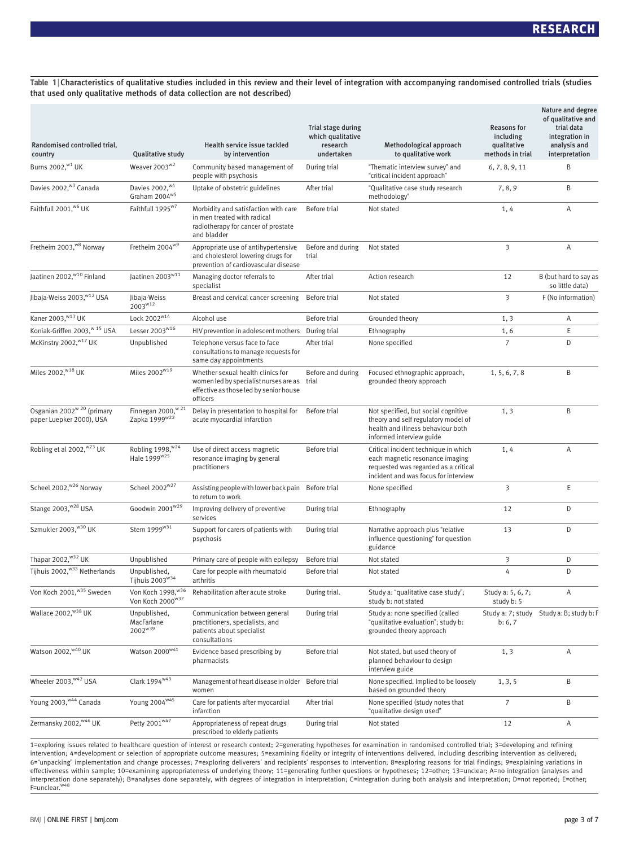Table 1 | Characteristics of qualitative studies included in this review and their level of integration with accompanying randomised controlled trials (studies that used only qualitative methods of data collection are not described)

| Randomised controlled trial,<br>country                            | <b>Qualitative study</b>                                    | Health service issue tackled<br>by intervention                                                                                        | Trial stage during<br>which qualitative<br>research<br>undertaken | Methodological approach<br>to qualitative work                                                                                                          | <b>Reasons for</b><br>including<br>qualitative<br>methods in trial | Nature and degree<br>of qualitative and<br>trial data<br>integration in<br>analysis and<br>interpretation |
|--------------------------------------------------------------------|-------------------------------------------------------------|----------------------------------------------------------------------------------------------------------------------------------------|-------------------------------------------------------------------|---------------------------------------------------------------------------------------------------------------------------------------------------------|--------------------------------------------------------------------|-----------------------------------------------------------------------------------------------------------|
| Burns 2002, <sup>w1</sup> UK                                       | Weaver 2003 <sup>w2</sup>                                   | Community based management of<br>people with psychosis                                                                                 | During trial                                                      | "Thematic interview survey" and<br>"critical incident approach"                                                                                         | 6, 7, 8, 9, 11                                                     | B                                                                                                         |
| Davies 2002, <sup>w3</sup> Canada                                  | Davies 2002, W4<br>Graham 2004 <sup>w5</sup>                | Uptake of obstetric guidelines                                                                                                         | After trial                                                       | "Qualitative case study research<br>methodology"                                                                                                        | 7, 8, 9                                                            | B                                                                                                         |
| Faithfull 2001, <sup>w6</sup> UK                                   | Faithfull 1995 <sup>w7</sup>                                | Morbidity and satisfaction with care<br>in men treated with radical<br>radiotherapy for cancer of prostate<br>and bladder              | Before trial                                                      | Not stated                                                                                                                                              | 1,4                                                                | Α                                                                                                         |
| Fretheim 2003, <sup>w8</sup> Norway                                | Fretheim 2004 <sup>w9</sup>                                 | Appropriate use of antihypertensive<br>and cholesterol lowering drugs for<br>prevention of cardiovascular disease                      | Before and during<br>trial                                        | Not stated                                                                                                                                              | 3                                                                  | Α                                                                                                         |
| Jaatinen 2002, <sup>w10</sup> Finland                              | Jaatinen 2003 <sup>w11</sup>                                | Managing doctor referrals to<br>specialist                                                                                             | After trial                                                       | Action research                                                                                                                                         | 12                                                                 | B (but hard to say as<br>so little data)                                                                  |
| Jibaja-Weiss 2003, w <sup>12</sup> USA                             | Jibaja-Weiss<br>$2003^{w12}$                                | Breast and cervical cancer screening                                                                                                   | Before trial                                                      | Not stated                                                                                                                                              | 3                                                                  | F (No information)                                                                                        |
| Kaner 2003, W13 UK                                                 | Lock 2002 <sup>w14</sup>                                    | Alcohol use                                                                                                                            | Before trial                                                      | Grounded theory                                                                                                                                         | 1, 3                                                               | Α                                                                                                         |
| Koniak-Griffen 2003, <sup>w 15</sup> USA                           | Lesser 2003 <sup>w16</sup>                                  | HIV prevention in adolescent mothers                                                                                                   | During trial                                                      | Ethnography                                                                                                                                             | 1,6                                                                | Ε                                                                                                         |
| McKinstry 2002, <sup>w17</sup> UK                                  | Unpublished                                                 | Telephone versus face to face<br>consultations to manage requests for<br>same day appointments                                         | After trial                                                       | None specified                                                                                                                                          | $\overline{7}$                                                     | D                                                                                                         |
| Miles 2002, <sup>w18</sup> UK                                      | Miles 2002 <sup>w19</sup>                                   | Whether sexual health clinics for<br>women led by specialist nurses are as trial<br>effective as those led by senior house<br>officers | Before and during                                                 | Focused ethnographic approach,<br>grounded theory approach                                                                                              | 1, 5, 6, 7, 8                                                      | B                                                                                                         |
| Osganian 2002 <sup>w 20</sup> (primary<br>paper Luepker 2000), USA | Finnegan 2000, <sup>w 21</sup><br>Zapka 1999 <sup>w22</sup> | Delay in presentation to hospital for<br>acute myocardial infarction                                                                   | Before trial                                                      | Not specified, but social cognitive<br>theory and self regulatory model of<br>health and illness behaviour both<br>informed interview guide             | 1, 3                                                               | B                                                                                                         |
| Robling et al 2002, <sup>w23</sup> UK                              | Robling 1998, w24<br>Hale 1999 <sup>w25</sup>               | Use of direct access magnetic<br>resonance imaging by general<br>practitioners                                                         | Before trial                                                      | Critical incident technique in which<br>each magnetic resonance imaging<br>requested was regarded as a critical<br>incident and was focus for interview | 1,4                                                                | Α                                                                                                         |
| Scheel 2002, <sup>w26</sup> Norway                                 | Scheel 2002 <sup>w27</sup>                                  | Assisting people with lower back pain<br>to return to work                                                                             | Before trial                                                      | None specified                                                                                                                                          | 3                                                                  | Ε                                                                                                         |
| Stange 2003, W28 USA                                               | Goodwin 2001 <sup>w29</sup>                                 | Improving delivery of preventive<br>services                                                                                           | During trial                                                      | Ethnography                                                                                                                                             | 12                                                                 | D                                                                                                         |
| Szmukler 2003, W30 UK                                              | Stern 1999 <sup>w31</sup>                                   | Support for carers of patients with<br>psychosis                                                                                       | During trial                                                      | Narrative approach plus "relative<br>influence questioning" for question<br>guidance                                                                    | 13                                                                 | D                                                                                                         |
| Thapar 2002, W32 UK                                                | Unpublished                                                 | Primary care of people with epilepsy                                                                                                   | Before trial                                                      | Not stated                                                                                                                                              | 3                                                                  | D                                                                                                         |
| Tijhuis 2002, W33 Netherlands                                      | Unpublished,<br>Tijhuis 2003 <sup>w34</sup>                 | Care for people with rheumatoid<br>arthritis                                                                                           | Before trial                                                      | Not stated                                                                                                                                              | $\overline{4}$                                                     | D                                                                                                         |
| Von Koch 2001, <sup>w35</sup> Sweden                               | Von Koch 1998, w36<br>Von Koch 2000 <sup>w37</sup>          | Rehabilitation after acute stroke                                                                                                      | During trial.                                                     | Study a: "qualitative case study";<br>study b: not stated                                                                                               | Study a: 5, 6, 7;<br>study b: 5                                    | Α                                                                                                         |
| Wallace 2002, W38 UK                                               | Unpublished,<br>MacFarlane<br>2002 <sup>w39</sup>           | Communication between general<br>practitioners, specialists, and<br>patients about specialist<br>consultations                         | During trial                                                      | Study a: none specified (called<br>"qualitative evaluation"; study b:<br>grounded theory approach                                                       | Study a: 7; study<br>b: 6, 7                                       | Study a: B; study b: F                                                                                    |
| Watson 2002, $\sqrt[4]{40}$ UK                                     | Watson $2000^{\text{w41}}$                                  | Evidence based prescribing by<br>pharmacists                                                                                           | Before trial                                                      | Not stated, but used theory of<br>planned behaviour to design<br>interview guide                                                                        | 1, 3                                                               | Α                                                                                                         |
| Wheeler 2003, <sup>w42</sup> USA                                   | Clark 1994 <sup>w43</sup>                                   | Management of heart disease in older<br>women                                                                                          | Before trial                                                      | None specified. Implied to be loosely<br>based on grounded theory                                                                                       | 1, 3, 5                                                            | B                                                                                                         |
| Young 2003, <sup>w44</sup> Canada                                  | Young 2004 <sup>w45</sup>                                   | Care for patients after myocardial<br>infarction                                                                                       | After trial                                                       | None specified (study notes that<br>"qualitative design used"                                                                                           | $\overline{7}$                                                     | B                                                                                                         |
| Zermansky 2002, <sup>w46</sup> UK                                  | Petty 2001 <sup>w47</sup>                                   | Appropriateness of repeat drugs<br>prescribed to elderly patients                                                                      | During trial                                                      | Not stated                                                                                                                                              | 12                                                                 | Α                                                                                                         |

1=exploring issues related to healthcare question of interest or research context; 2=generating hypotheses for examination in randomised controlled trial; 3=developing and refining intervention; 4=development or selection of appropriate outcome measures; 5=examining fidelity or integrity of interventions delivered, including describing intervention as delivered; 6="unpacking" implementation and change processes; 7=exploring deliverers' and recipients' responses to intervention; 8=exploring reasons for trial findings; 9=explaining variations in effectiveness within sample; 10=examining appropriateness of underlying theory; 11=generating further questions or hypotheses; 12=other; 13=unclear; A=no integration (analyses and interpretation done separately); B=analyses done separately, with degrees of integration in interpretation; C=integration during both analysis and interpretation; D=not reported; E=other; F=unclear.w48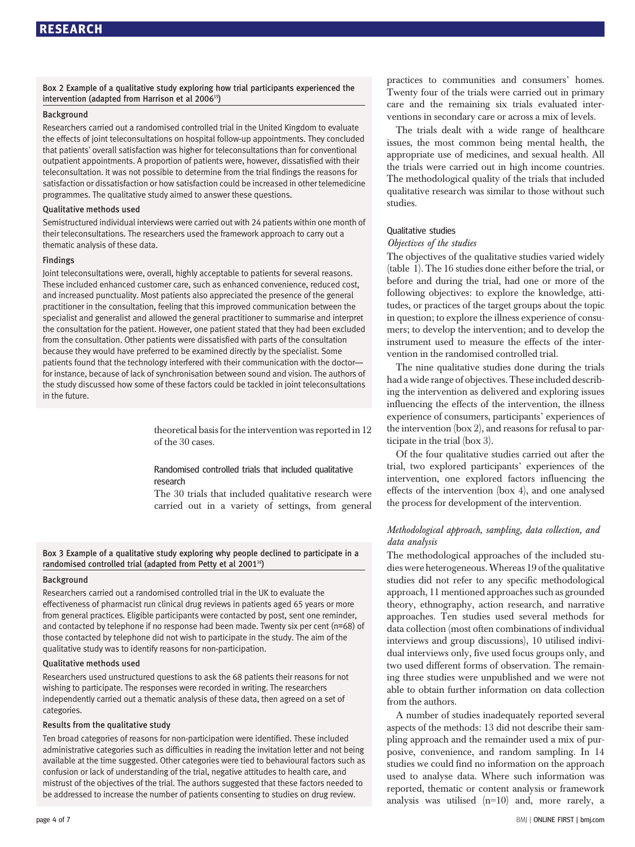Box 2 Example of a qualitative study exploring how trial participants experienced the intervention (adapted from Harrison et al 2006<sup>15</sup>)

#### Background

Researchers carried out a randomised controlled trial in the United Kingdom to evaluate the effects of joint teleconsultations on hospital follow-up appointments. They concluded that patients' overall satisfaction was higher for teleconsultations than for conventional outpatient appointments. A proportion of patients were, however, dissatisfied with their teleconsultation. It was not possible to determine from the trial findings the reasons for satisfaction or dissatisfaction or how satisfaction could be increased in other telemedicine programmes. The qualitative study aimed to answer these questions.

#### Qualitative methods used

Semistructured individual interviews were carried out with 24 patients within one month of their teleconsultations. The researchers used the framework approach to carry out a thematic analysis of these data.

#### Findings

Joint teleconsultations were, overall, highly acceptable to patients for several reasons. These included enhanced customer care, such as enhanced convenience, reduced cost, and increased punctuality. Most patients also appreciated the presence of the general practitioner in the consultation, feeling that this improved communication between the specialist and generalist and allowed the general practitioner to summarise and interpret the consultation for the patient. However, one patient stated that they had been excluded from the consultation. Other patients were dissatisfied with parts of the consultation because they would have preferred to be examined directly by the specialist. Some patients found that the technology interfered with their communication with the doctor for instance, because of lack of synchronisation between sound and vision. The authors of the study discussed how some of these factors could be tackled in joint teleconsultations in the future.

> theoretical basis for the intervention was reported in 12 of the 30 cases.

Randomised controlled trials that included qualitative research

The 30 trials that included qualitative research were carried out in a variety of settings, from general

Box 3 Example of a qualitative study exploring why people declined to participate in a randomised controlled trial (adapted from Petty et al 2001<sup>16</sup>)

#### Background

Researchers carried out a randomised controlled trial in the UK to evaluate the effectiveness of pharmacist run clinical drug reviews in patients aged 65 years or more from general practices. Eligible participants were contacted by post, sent one reminder, and contacted by telephone if no response had been made. Twenty six per cent (n=68) of those contacted by telephone did not wish to participate in the study. The aim of the qualitative study was to identify reasons for non-participation.

#### Qualitative methods used

Researchers used unstructured questions to ask the 68 patients their reasons for not wishing to participate. The responses were recorded in writing. The researchers independently carried out a thematic analysis of these data, then agreed on a set of categories.

#### Results from the qualitative study

Ten broad categories of reasons for non-participation were identified. These included administrative categories such as difficulties in reading the invitation letter and not being available at the time suggested. Other categories were tied to behavioural factors such as confusion or lack of understanding of the trial, negative attitudes to health care, and mistrust of the objectives of the trial. The authors suggested that these factors needed to be addressed to increase the number of patients consenting to studies on drug review.

practices to communities and consumers' homes. Twenty four of the trials were carried out in primary care and the remaining six trials evaluated interventions in secondary care or across a mix of levels.

The trials dealt with a wide range of healthcare issues, the most common being mental health, the appropriate use of medicines, and sexual health. All the trials were carried out in high income countries. The methodological quality of the trials that included qualitative research was similar to those without such studies.

#### Qualitative studies

#### Objectives of the studies

The objectives of the qualitative studies varied widely (table 1). The 16 studies done either before the trial, or before and during the trial, had one or more of the following objectives: to explore the knowledge, attitudes, or practices of the target groups about the topic in question; to explore the illness experience of consumers; to develop the intervention; and to develop the instrument used to measure the effects of the intervention in the randomised controlled trial.

The nine qualitative studies done during the trials had a wide range of objectives. These included describing the intervention as delivered and exploring issues influencing the effects of the intervention, the illness experience of consumers, participants' experiences of the intervention (box 2), and reasons for refusal to participate in the trial (box 3).

Of the four qualitative studies carried out after the trial, two explored participants' experiences of the intervention, one explored factors influencing the effects of the intervention (box 4), and one analysed the process for development of the intervention.

#### Methodological approach, sampling, data collection, and data analysis

The methodological approaches of the included studies were heterogeneous.Whereas 19 of the qualitative studies did not refer to any specific methodological approach, 11 mentioned approaches such as grounded theory, ethnography, action research, and narrative approaches. Ten studies used several methods for data collection (most often combinations of individual interviews and group discussions), 10 utilised individual interviews only, five used focus groups only, and two used different forms of observation. The remaining three studies were unpublished and we were not able to obtain further information on data collection from the authors.

A number of studies inadequately reported several aspects of the methods: 13 did not describe their sampling approach and the remainder used a mix of purposive, convenience, and random sampling. In 14 studies we could find no information on the approach used to analyse data. Where such information was reported, thematic or content analysis or framework analysis was utilised (n=10) and, more rarely, a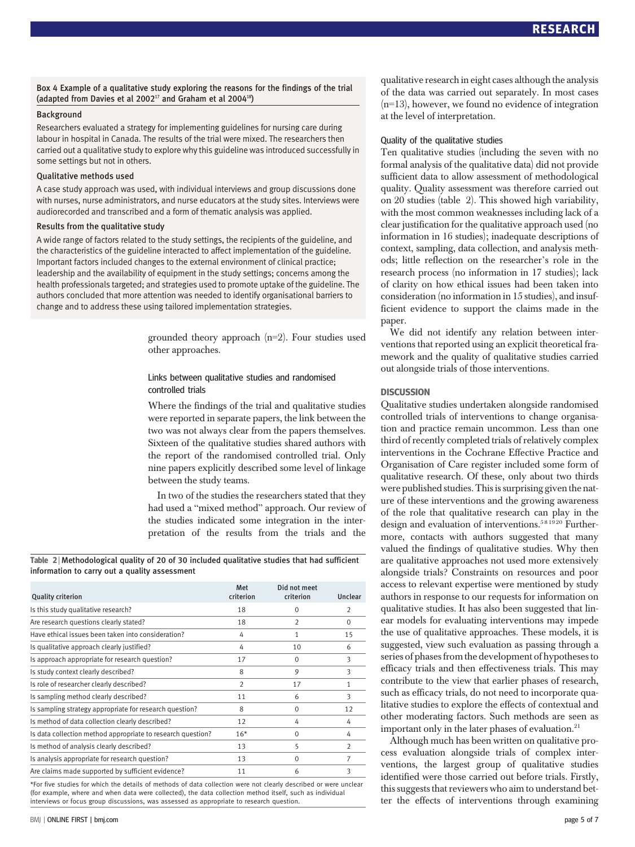Box 4 Example of a qualitative study exploring the reasons for the findings of the trial (adapted from Davies et al  $2002^{17}$  and Graham et al  $2004^{18}$ )

#### Background

Researchers evaluated a strategy for implementing guidelines for nursing care during labour in hospital in Canada. The results of the trial were mixed. The researchers then carried out a qualitative study to explore why this guideline was introduced successfully in some settings but not in others.

#### Qualitative methods used

A case study approach was used, with individual interviews and group discussions done with nurses, nurse administrators, and nurse educators at the study sites. Interviews were audiorecorded and transcribed and a form of thematic analysis was applied.

#### Results from the qualitative study

A wide range of factors related to the study settings, the recipients of the guideline, and the characteristics of the guideline interacted to affect implementation of the guideline. Important factors included changes to the external environment of clinical practice; leadership and the availability of equipment in the study settings; concerns among the health professionals targeted; and strategies used to promote uptake of the guideline. The authors concluded that more attention was needed to identify organisational barriers to change and to address these using tailored implementation strategies.

> grounded theory approach (n=2). Four studies used other approaches.

#### Links between qualitative studies and randomised controlled trials

Where the findings of the trial and qualitative studies were reported in separate papers, the link between the two was not always clear from the papers themselves. Sixteen of the qualitative studies shared authors with the report of the randomised controlled trial. Only nine papers explicitly described some level of linkage between the study teams.

In two of the studies the researchers stated that they had used a "mixed method" approach. Our review of the studies indicated some integration in the interpretation of the results from the trials and the

Table 2 | Methodological quality of 20 of 30 included qualitative studies that had sufficient information to carry out a quality assessment

| <b>Quality criterion</b>                                    | Met<br>criterion | Did not meet<br>criterion | Unclear        |
|-------------------------------------------------------------|------------------|---------------------------|----------------|
| Is this study qualitative research?                         | 18               | 0                         | $\overline{2}$ |
| Are research questions clearly stated?                      | 18               | $\overline{2}$            | $\Omega$       |
| Have ethical issues been taken into consideration?          | 4                | 1                         | 15             |
| Is qualitative approach clearly justified?                  | 4                | 10                        | 6              |
| Is approach appropriate for research question?              | 17               | $\Omega$                  | 3              |
| Is study context clearly described?                         | 8                | 9                         | 3              |
| Is role of researcher clearly described?                    | $\overline{2}$   | 17                        | 1              |
| Is sampling method clearly described?                       | 11               | 6                         | 3              |
| Is sampling strategy appropriate for research question?     | 8                | $\mathbf 0$               | 12             |
| Is method of data collection clearly described?             | 12               | 4                         | 4              |
| Is data collection method appropriate to research question? | $16*$            | $\Omega$                  | 4              |
| Is method of analysis clearly described?                    | 13               | 5                         | $\overline{2}$ |
| Is analysis appropriate for research question?              | 13               | $\Omega$                  | 7              |
| Are claims made supported by sufficient evidence?           | 11               | 6                         | 3              |

\*For five studies for which the details of methods of data collection were not clearly described or were unclear (for example, where and when data were collected), the data collection method itself, such as individual interviews or focus group discussions, was assessed as appropriate to research question.

qualitative research in eight cases although the analysis of the data was carried out separately. In most cases  $(n=13)$ , however, we found no evidence of integration at the level of interpretation.

#### Quality of the qualitative studies

Ten qualitative studies (including the seven with no formal analysis of the qualitative data) did not provide sufficient data to allow assessment of methodological quality. Quality assessment was therefore carried out on 20 studies (table 2). This showed high variability, with the most common weaknesses including lack of a clear justification for the qualitative approach used (no information in 16 studies); inadequate descriptions of context, sampling, data collection, and analysis methods; little reflection on the researcher's role in the research process (no information in 17 studies); lack of clarity on how ethical issues had been taken into consideration (no information in 15 studies), and insufficient evidence to support the claims made in the paper.

We did not identify any relation between interventions that reported using an explicit theoretical framework and the quality of qualitative studies carried out alongside trials of those interventions.

#### **DISCUSSION**

Qualitative studies undertaken alongside randomised controlled trials of interventions to change organisation and practice remain uncommon. Less than one third of recently completed trials of relatively complex interventions in the Cochrane Effective Practice and Organisation of Care register included some form of qualitative research. Of these, only about two thirds were published studies. This is surprising given the nature of these interventions and the growing awareness of the role that qualitative research can play in the design and evaluation of interventions.<sup>581920</sup> Furthermore, contacts with authors suggested that many valued the findings of qualitative studies. Why then are qualitative approaches not used more extensively alongside trials? Constraints on resources and poor access to relevant expertise were mentioned by study authors in response to our requests for information on qualitative studies. It has also been suggested that linear models for evaluating interventions may impede the use of qualitative approaches. These models, it is suggested, view such evaluation as passing through a series of phases from the development of hypotheses to efficacy trials and then effectiveness trials. This may contribute to the view that earlier phases of research, such as efficacy trials, do not need to incorporate qualitative studies to explore the effects of contextual and other moderating factors. Such methods are seen as important only in the later phases of evaluation.<sup>21</sup>

Although much has been written on qualitative process evaluation alongside trials of complex interventions, the largest group of qualitative studies identified were those carried out before trials. Firstly, this suggests that reviewers who aim to understand better the effects of interventions through examining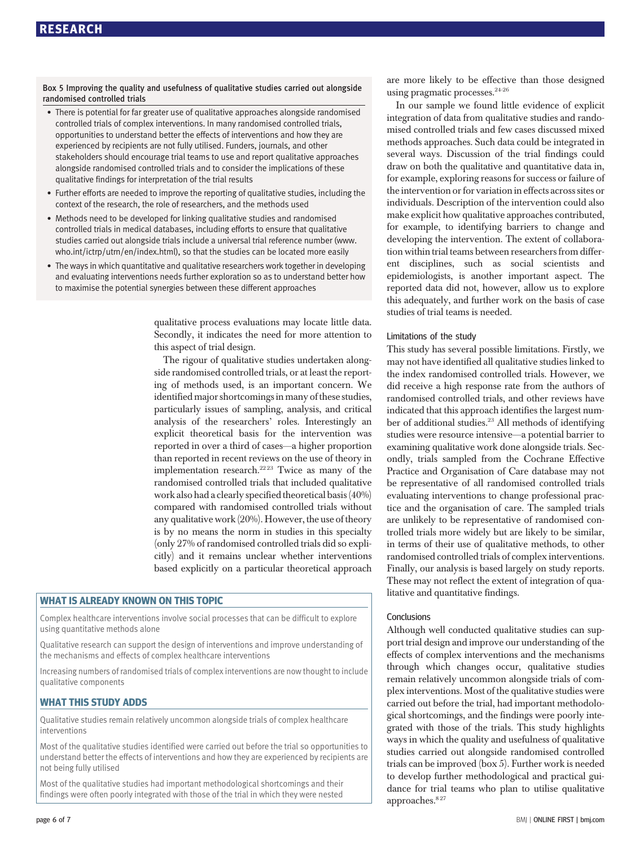Box 5 Improving the quality and usefulness of qualitative studies carried out alongside randomised controlled trials

- There is potential for far greater use of qualitative approaches alongside randomised controlled trials of complex interventions. In many randomised controlled trials, opportunities to understand better the effects of interventions and how they are experienced by recipients are not fully utilised. Funders, journals, and other stakeholders should encourage trial teams to use and report qualitative approaches alongside randomised controlled trials and to consider the implications of these qualitative findings for interpretation of the trial results
- Further efforts are needed to improve the reporting of qualitative studies, including the context of the research, the role of researchers, and the methods used
- Methods need to be developed for linking qualitative studies and randomised controlled trials in medical databases, including efforts to ensure that qualitative studies carried out alongside trials include a universal trial reference number (www. who.int/ictrp/utrn/en/index.html), so that the studies can be located more easily
- The ways in which quantitative and qualitative researchers work together in developing and evaluating interventions needs further exploration so as to understand better how to maximise the potential synergies between these different approaches

qualitative process evaluations may locate little data. Secondly, it indicates the need for more attention to this aspect of trial design.

The rigour of qualitative studies undertaken alongside randomised controlled trials, or at least the reporting of methods used, is an important concern. We identified major shortcomings in many of these studies, particularly issues of sampling, analysis, and critical analysis of the researchers' roles. Interestingly an explicit theoretical basis for the intervention was reported in over a third of cases—a higher proportion than reported in recent reviews on the use of theory in implementation research.<sup>2223</sup> Twice as many of the randomised controlled trials that included qualitative work also had a clearly specified theoretical basis (40%) compared with randomised controlled trials without any qualitative work (20%). However, the use of theory is by no means the norm in studies in this specialty (only 27% of randomised controlled trials did so explicitly) and it remains unclear whether interventions based explicitly on a particular theoretical approach

#### WHAT IS ALREADY KNOWN ON THIS TOPIC

Complex healthcare interventions involve social processes that can be difficult to explore using quantitative methods alone

Qualitative research can support the design of interventions and improve understanding of the mechanisms and effects of complex healthcare interventions

Increasing numbers of randomised trials of complex interventions are now thought to include qualitative components

#### WHAT THIS STUDY ADDS

Qualitative studies remain relatively uncommon alongside trials of complex healthcare interventions

Most of the qualitative studies identified were carried out before the trial so opportunities to understand better the effects of interventions and how they are experienced by recipients are not being fully utilised

Most of the qualitative studies had important methodological shortcomings and their findings were often poorly integrated with those of the trial in which they were nested are more likely to be effective than those designed using pragmatic processes.<sup>24-26</sup>

In our sample we found little evidence of explicit integration of data from qualitative studies and randomised controlled trials and few cases discussed mixed methods approaches. Such data could be integrated in several ways. Discussion of the trial findings could draw on both the qualitative and quantitative data in, for example, exploring reasons for success or failure of the intervention or for variation in effects across sites or individuals. Description of the intervention could also make explicit how qualitative approaches contributed, for example, to identifying barriers to change and developing the intervention. The extent of collaboration within trial teams between researchers from different disciplines, such as social scientists and epidemiologists, is another important aspect. The reported data did not, however, allow us to explore this adequately, and further work on the basis of case studies of trial teams is needed.

#### Limitations of the study

This study has several possible limitations. Firstly, we may not have identified all qualitative studies linked to the index randomised controlled trials. However, we did receive a high response rate from the authors of randomised controlled trials, and other reviews have indicated that this approach identifies the largest number of additional studies.<sup>23</sup> All methods of identifying studies were resource intensive—a potential barrier to examining qualitative work done alongside trials. Secondly, trials sampled from the Cochrane Effective Practice and Organisation of Care database may not be representative of all randomised controlled trials evaluating interventions to change professional practice and the organisation of care. The sampled trials are unlikely to be representative of randomised controlled trials more widely but are likely to be similar, in terms of their use of qualitative methods, to other randomised controlled trials of complex interventions. Finally, our analysis is based largely on study reports. These may not reflect the extent of integration of qualitative and quantitative findings.

#### Conclusions

Although well conducted qualitative studies can support trial design and improve our understanding of the effects of complex interventions and the mechanisms through which changes occur, qualitative studies remain relatively uncommon alongside trials of complex interventions. Most of the qualitative studies were carried out before the trial, had important methodological shortcomings, and the findings were poorly integrated with those of the trials. This study highlights ways in which the quality and usefulness of qualitative studies carried out alongside randomised controlled trials can be improved (box 5). Further work is needed to develop further methodological and practical guidance for trial teams who plan to utilise qualitative approaches.<sup>827</sup>